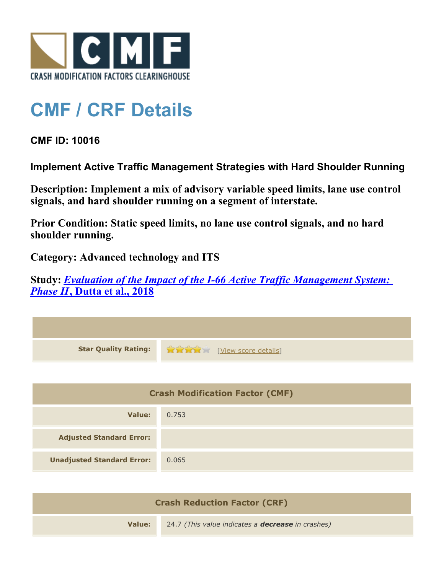

## **CMF / CRF Details**

**CMF ID: 10016**

**Implement Active Traffic Management Strategies with Hard Shoulder Running**

**Description: Implement a mix of advisory variable speed limits, lane use control signals, and hard shoulder running on a segment of interstate.**

**Prior Condition: Static speed limits, no lane use control signals, and no hard shoulder running.**

**Category: Advanced technology and ITS**

**Study:** *[Evaluation of the Impact of the I-66 Active Traffic Management System:](http://www.cmfclearinghouse.org/study_detail.cfm?stid=571) [Phase II](http://www.cmfclearinghouse.org/study_detail.cfm?stid=571)***[, Dutta et al., 2018](http://www.cmfclearinghouse.org/study_detail.cfm?stid=571)**

| <b>Star Quality Rating:</b>            | View score details] |  |
|----------------------------------------|---------------------|--|
|                                        |                     |  |
| <b>Crash Modification Factor (CMF)</b> |                     |  |
| Value:                                 | 0.753               |  |
| <b>Adjusted Standard Error:</b>        |                     |  |
| <b>Unadjusted Standard Error:</b>      | 0.065               |  |

| <b>Crash Reduction Factor (CRF)</b> |                                                          |
|-------------------------------------|----------------------------------------------------------|
| Value:                              | 24.7 (This value indicates a <b>decrease</b> in crashes) |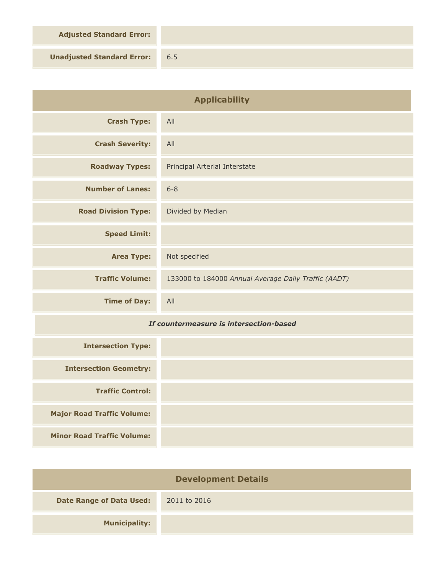**Adjusted Standard Error:**

**Unadjusted Standard Error:** 6.5

| <b>Applicability</b>                    |                                                      |
|-----------------------------------------|------------------------------------------------------|
| <b>Crash Type:</b>                      | All                                                  |
| <b>Crash Severity:</b>                  | All                                                  |
| <b>Roadway Types:</b>                   | Principal Arterial Interstate                        |
| <b>Number of Lanes:</b>                 | $6 - 8$                                              |
| <b>Road Division Type:</b>              | Divided by Median                                    |
| <b>Speed Limit:</b>                     |                                                      |
| <b>Area Type:</b>                       | Not specified                                        |
| <b>Traffic Volume:</b>                  | 133000 to 184000 Annual Average Daily Traffic (AADT) |
| <b>Time of Day:</b>                     | All                                                  |
| If countermeasure is intersection-based |                                                      |
| <b>Intersection Type:</b>               |                                                      |
| <b>Intersection Geometry:</b>           |                                                      |
| <b>Traffic Control:</b>                 |                                                      |

**Major Road Traffic Volume:**

**Minor Road Traffic Volume:**

| <b>Development Details</b>      |              |  |
|---------------------------------|--------------|--|
| <b>Date Range of Data Used:</b> | 2011 to 2016 |  |
| <b>Municipality:</b>            |              |  |